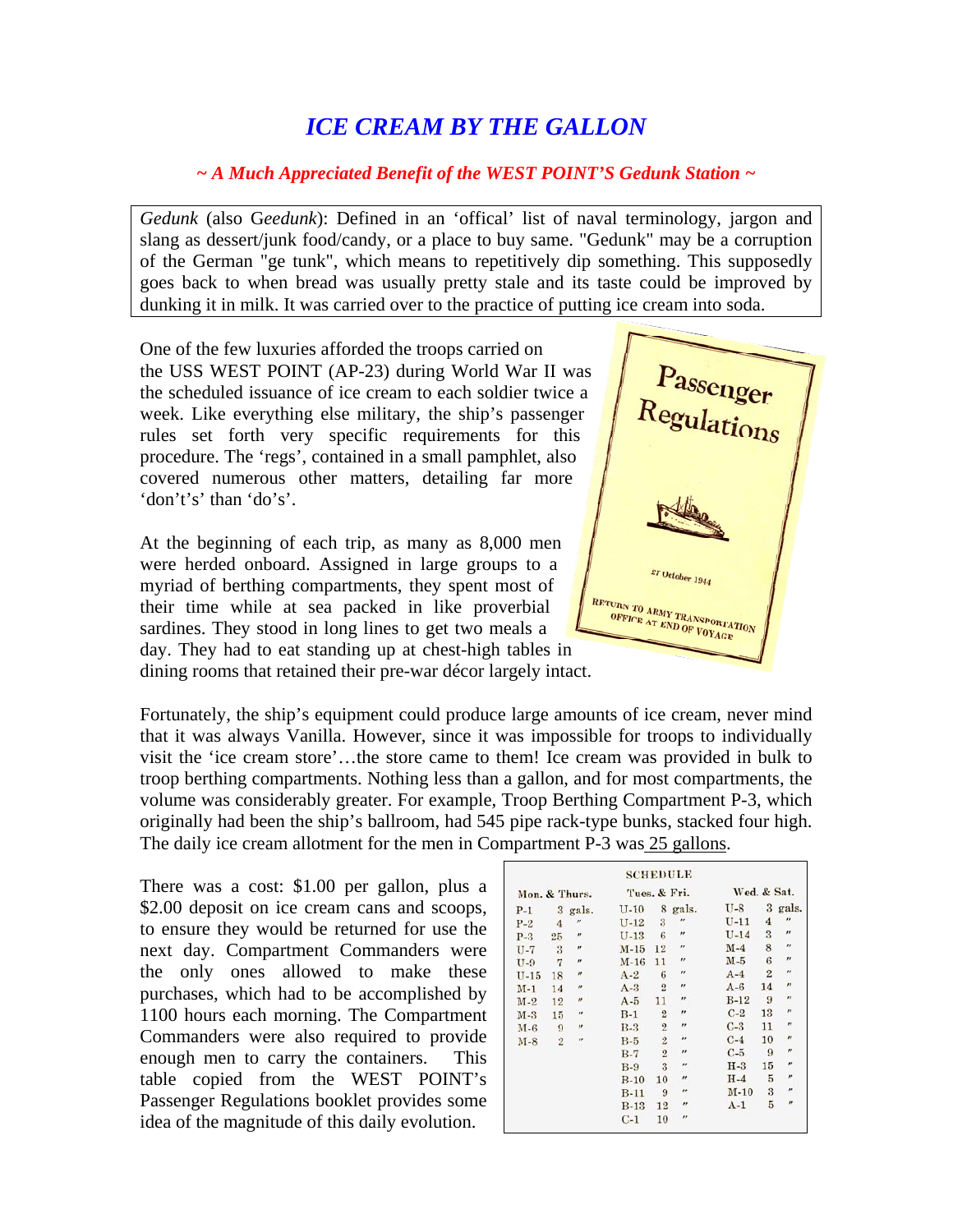## *ICE CREAM BY THE GALLON*

## *~ A Much Appreciated Benefit of the WEST POINT'S Gedunk Station ~*

*Gedunk* (also G*eedunk*): Defined in an 'offical' list of naval terminology, jargon and slang as dessert/junk food/candy, or a place to buy same. "Gedunk" may be a corruption of the German "ge tunk", which means to repetitively dip something. This supposedly goes back to when bread was usually pretty stale and its taste could be improved by dunking it in milk. It was carried over to the practice of putting ice cream into soda.

One of the few luxuries afforded the troops carried on the USS WEST POINT (AP-23) during World War II was the scheduled issuance of ice cream to each soldier twice a week. Like everything else military, the ship's passenger rules set forth very specific requirements for this procedure. The 'regs', contained in a small pamphlet, also covered numerous other matters, detailing far more 'don't's' than 'do's'.

At the beginning of each trip, as many as 8,000 men were herded onboard. Assigned in large groups to a myriad of berthing compartments, they spent most of their time while at sea packed in like proverbial sardines. They stood in long lines to get two meals a day. They had to eat standing up at chest-high tables in dining rooms that retained their pre-war décor largely intact.



Fortunately, the ship's equipment could produce large amounts of ice cream, never mind that it was always Vanilla. However, since it was impossible for troops to individually visit the 'ice cream store'…the store came to them! Ice cream was provided in bulk to troop berthing compartments. Nothing less than a gallon, and for most compartments, the volume was considerably greater. For example, Troop Berthing Compartment P-3, which originally had been the ship's ballroom, had 545 pipe rack-type bunks, stacked four high. The daily ice cream allotment for the men in Compartment P-3 was 25 gallons.

There was a cost: \$1.00 per gallon, plus a \$2.00 deposit on ice cream cans and scoops, to ensure they would be returned for use the next day. Compartment Commanders were the only ones allowed to make these purchases, which had to be accomplished by 1100 hours each morning. The Compartment Commanders were also required to provide enough men to carry the containers. This table copied from the WEST POINT's Passenger Regulations booklet provides some idea of the magnitude of this daily evolution.

| Mon. & Thurs. |                |                             | Tues. & Fri. |                |                    | Wed. & Sat. |                |                          |
|---------------|----------------|-----------------------------|--------------|----------------|--------------------|-------------|----------------|--------------------------|
| $P-1$         |                | 3 gals.                     | $U-10$       |                | 8 gals.            | U-8         | 3              | gals.                    |
| $P-2$         | 4              | $^{\prime\prime}$           | $U-12$       | 3              | $^{\prime\prime}$  | $U-11$      | 4              | $\overline{\phantom{a}}$ |
| $P-3$         | 25             | $^{\prime\prime}$           | $U-13$       | 6              | $^{\prime\prime}$  | $U-14$      | 3              | $\overline{r}$           |
| $U - 7$       | 3              | $\boldsymbol{H}$            | $M-15$       | 12             | $^{\prime\prime}$  | $M-4$       | 8              | $\overline{r}$           |
| $U-9$         | 7              | $^{\prime\prime}$           | $M-16$       | 11             | $^{\prime\prime}$  | $M-5$       | 6              | $^{\prime\prime}$        |
| $U-15$        | 18             | $\boldsymbol{H}$            | $A-2$        | 6              | $^{\prime\prime}$  | $A-4$       | $\overline{2}$ | $^{\prime\prime}$        |
| $M-1$         | 14             | $^{\prime\prime}$           | $A-3$        | $\overline{2}$ | $^{\prime\prime}$  | $A-6$       | 14             | $\overline{r}$           |
| $M-2$         | 12             | $\boldsymbol{\prime\prime}$ | $A-5$        | 11             | $\boldsymbol{H}$   | $B-12$      | 9              | $\boldsymbol{\mu}$       |
| $M-3$         | 15             | $^{\prime\prime}$           | $B-1$        | $\overline{2}$ | $\boldsymbol{r}$   | $C-2$       | 13             | $\theta$                 |
| $M - 6$       | 9              | $^{\prime\prime}$           | $B-3$        | $\overline{2}$ | $^{\prime\prime}$  | $C-3$       | 11             | $\boldsymbol{r}$         |
| $M-S$         | $\overline{2}$ | $^{\prime\prime}$           | $B-5$        | $\overline{2}$ | $\boldsymbol{H}$   | $C-4$       | 10             | $^{\prime\prime}$        |
|               |                |                             | $B-7$        | $\overline{2}$ | $\bullet$          | $C-5$       | 9              | $^{\prime\prime}$        |
|               |                |                             | $B-9$        | 3              | $\boldsymbol{\mu}$ | $H-3$       | 15             | $^{\prime\prime}$        |
|               |                |                             | $B-10$       | 10             | $\boldsymbol{H}$   | $H-4$       | $\overline{5}$ | $\boldsymbol{r}$         |
|               |                |                             | $B-11$       | 9              | $^{\prime\prime}$  | $M-10$      | 3              | $\boldsymbol{r}$         |
|               |                |                             | $B-13$       | 12             | $\overline{r}$     | $A-1$       | 5              | $\boldsymbol{H}$         |
|               |                |                             | $C-1$        | 10             | $^{\prime}$        |             |                |                          |